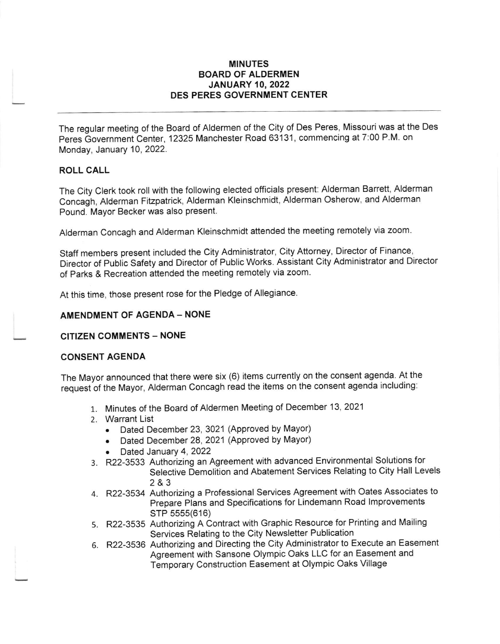## MINUTES BOARD OF ALDERMEN **JANUARY 10, 2022** DES PERES GOVERNMENT CENTER

The regular meeting of the Board of Aldermen of the City of Des Peres, Missouri was at the Des Peres Government Center, 12325 Manchester Road 63131, commencing at 7:00 P.M. on Monday, January 10, 2022.

## ROLL CALL

The City Clerk took roll with the following elected officials present: Alderman Barrett, Alderman concagn, Alderman Fitzpatrick, Alderman Kleinschmidt, Alderman osherow, and Alderman Pound. Mayor Becker was also present.

Alderman concagh and Alderman Kleinschmidt attended the meeting remotely via zoom.

Staff members present included the city Administrator, city Attorney, Director of Finance, Director of Public Safety and Director of Public Works. Assistant City Administrator and Director of Parks & Recreation attended the meeting remotely via zoom

At this time, those present rose for the Pledge of Allegiance

## AMENDMENT OF AGENDA - NONE

CITIZEN COMMENTS - NONE

#### CONSENT AGENDA

The Mayor announced that there were six (6) items currently on the consent agenda. At the request of the Mayor, Alderman concagh read the items on the consent agenda including:

- 1. Minutes of the Board of Aldermen Meeting of December 13, 2021
- 2. Warrant List
	- . Dated December 23,3021 (Approved by Mayor)
	- Dated December 28, 2021 (Approved by Mayor)
	- Dated January 4, 2022
- 3. R22-3533 Authorizing an Agreement with advanced Environmental Solutions for Selective Demolition and Abatement Services Relating to City Hall Levels 2&3
- 4. R22-3534 Authorizing a Professional services Agreement with oates Associates to Prepare Plans and Specifications for Lindemann Road lmprovements sTP 5555(616)
- 5. R22-3535 Authorizing A Contract with Graphic Resource for Printing and Mailing Services Relating to the City Newsletter Publication
- 6. R22-3536 Authorizing and Directing the city Administrator to Execute an Easement Agreement with Sansone Olympic Oaks LLC for an Easement and Temporary Construction Easement at Olympic Oaks Village